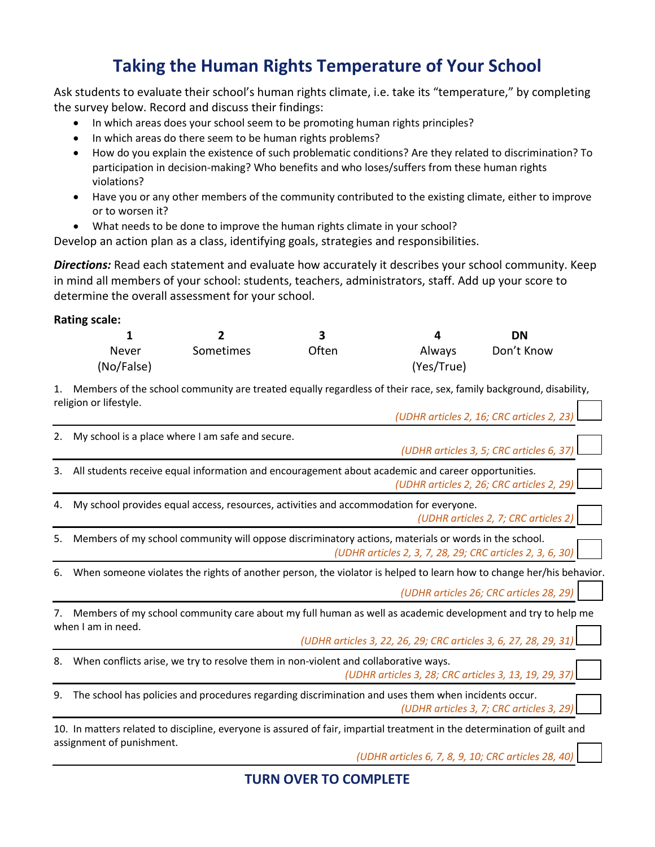## **Taking the Human Rights Temperature of Your School**

Ask students to evaluate their school's human rights climate, i.e. take its "temperature," by completing the survey below. Record and discuss their findings:

- In which areas does your school seem to be promoting human rights principles?
- In which areas do there seem to be human rights problems?
- How do you explain the existence of such problematic conditions? Are they related to discrimination? To participation in decision-making? Who benefits and who loses/suffers from these human rights violations?
- Have you or any other members of the community contributed to the existing climate, either to improve or to worsen it?
- What needs to be done to improve the human rights climate in your school?

Develop an action plan as a class, identifying goals, strategies and responsibilities.

*Directions:* Read each statement and evaluate how accurately it describes your school community. Keep in mind all members of your school: students, teachers, administrators, staff. Add up your score to determine the overall assessment for your school.

## **Rating scale:**

|            |           |              |            | DΝ         |
|------------|-----------|--------------|------------|------------|
| Never      | Sometimes | <b>Often</b> | Always     | Don't Know |
| (No/False) |           |              | (Yes/True) |            |

1. Members of the school community are treated equally regardless of their race, sex, family background, disability, religion or lifestyle. *(UDHR articles 2, 16; CRC articles 2, 23)*

|    | (UDHR Articles 2, 16; CRC Articles 2, 23)                                                                                                                                                            |  |  |  |
|----|------------------------------------------------------------------------------------------------------------------------------------------------------------------------------------------------------|--|--|--|
| 2. | My school is a place where I am safe and secure.<br>(UDHR articles 3, 5; CRC articles 6, 37)                                                                                                         |  |  |  |
| 3. | All students receive equal information and encouragement about academic and career opportunities.<br>(UDHR articles 2, 26; CRC articles 2, 29)                                                       |  |  |  |
| 4. | My school provides equal access, resources, activities and accommodation for everyone.<br>(UDHR articles 2, 7; CRC articles 2)                                                                       |  |  |  |
| 5. | Members of my school community will oppose discriminatory actions, materials or words in the school.<br>(UDHR articles 2, 3, 7, 28, 29; CRC articles 2, 3, 6, 30)                                    |  |  |  |
| 6. | When someone violates the rights of another person, the violator is helped to learn how to change her/his behavior.<br>(UDHR articles 26; CRC articles 28, 29)                                       |  |  |  |
| 7. | Members of my school community care about my full human as well as academic development and try to help me<br>when I am in need.<br>(UDHR articles 3, 22, 26, 29; CRC articles 3, 6, 27, 28, 29, 31) |  |  |  |
| 8. | When conflicts arise, we try to resolve them in non-violent and collaborative ways.<br>(UDHR articles 3, 28; CRC articles 3, 13, 19, 29, 37)                                                         |  |  |  |
| 9. | The school has policies and procedures regarding discrimination and uses them when incidents occur.<br>(UDHR articles 3, 7; CRC articles 3, 29)                                                      |  |  |  |
|    | 10. In matters related to discipline, everyone is assured of fair, impartial treatment in the determination of guilt and                                                                             |  |  |  |
|    | assignment of punishment.<br>(UDHR articles 6, 7, 8, 9, 10; CRC articles 28, 40)                                                                                                                     |  |  |  |